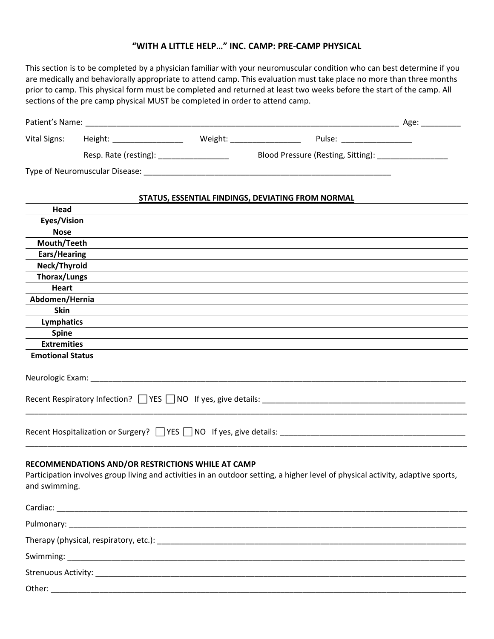## **"WITH A LITTLE HELP…" INC. CAMP: PRE-CAMP PHYSICAL**

This section is to be completed by a physician familiar with your neuromuscular condition who can best determine if you are medically and behaviorally appropriate to attend camp. This evaluation must take place no more than three months prior to camp. This physical form must be completed and returned at least two weeks before the start of the camp. All sections of the pre camp physical MUST be completed in order to attend camp.

| Patient's Name:                |                       |         |                                    | Age: |  |  |
|--------------------------------|-----------------------|---------|------------------------------------|------|--|--|
| Vital Signs:                   | Height:               | Weight: | Pulse:                             |      |  |  |
|                                | Resp. Rate (resting): |         | Blood Pressure (Resting, Sitting): |      |  |  |
| Type of Neuromuscular Disease: |                       |         |                                    |      |  |  |

## **STATUS, ESSENTIAL FINDINGS, DEVIATING FROM NORMAL**

| Head                       |                                                                                                                                                                                      |
|----------------------------|--------------------------------------------------------------------------------------------------------------------------------------------------------------------------------------|
| Eyes/Vision                |                                                                                                                                                                                      |
| <b>Nose</b>                |                                                                                                                                                                                      |
| Mouth/Teeth                |                                                                                                                                                                                      |
| Ears/Hearing               |                                                                                                                                                                                      |
| Neck/Thyroid               |                                                                                                                                                                                      |
| <b>Thorax/Lungs</b>        |                                                                                                                                                                                      |
| <b>Heart</b>               |                                                                                                                                                                                      |
| Abdomen/Hernia             |                                                                                                                                                                                      |
| Skin                       |                                                                                                                                                                                      |
| Lymphatics                 |                                                                                                                                                                                      |
| Spine                      |                                                                                                                                                                                      |
| <b>Extremities</b>         |                                                                                                                                                                                      |
| <b>Emotional Status</b>    |                                                                                                                                                                                      |
|                            | Recent Respiratory Infection? $\Box$ YES $\Box$ NO If yes, give details:                                                                                                             |
| and swimming.              | RECOMMENDATIONS AND/OR RESTRICTIONS WHILE AT CAMP<br>Participation involves group living and activities in an outdoor setting, a higher level of physical activity, adaptive sports, |
|                            |                                                                                                                                                                                      |
|                            |                                                                                                                                                                                      |
|                            |                                                                                                                                                                                      |
| Swimming:                  |                                                                                                                                                                                      |
| <b>Strenuous Activity:</b> |                                                                                                                                                                                      |

 $Other:$